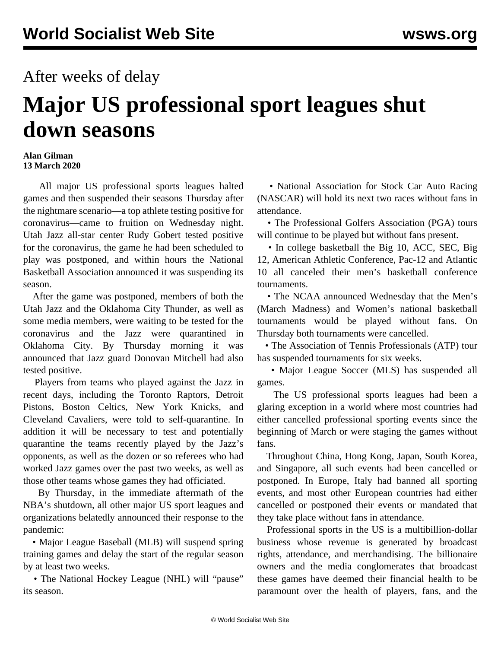## After weeks of delay

## **Major US professional sport leagues shut down seasons**

## **Alan Gilman 13 March 2020**

 All major US professional sports leagues halted games and then suspended their seasons Thursday after the nightmare scenario—a top athlete testing positive for coronavirus—came to fruition on Wednesday night. Utah Jazz all-star center Rudy Gobert tested positive for the coronavirus, the game he had been scheduled to play was postponed, and within hours the National Basketball Association announced it was suspending its season.

 After the game was postponed, members of both the Utah Jazz and the Oklahoma City Thunder, as well as some media members, were waiting to be tested for the coronavirus and the Jazz were quarantined in Oklahoma City. By Thursday morning it was announced that Jazz guard Donovan Mitchell had also tested positive.

 Players from teams who played against the Jazz in recent days, including the Toronto Raptors, Detroit Pistons, Boston Celtics, New York Knicks, and Cleveland Cavaliers, were told to self-quarantine. In addition it will be necessary to test and potentially quarantine the teams recently played by the Jazz's opponents, as well as the dozen or so referees who had worked Jazz games over the past two weeks, as well as those other teams whose games they had officiated.

 By Thursday, in the immediate aftermath of the NBA's shutdown, all other major US sport leagues and organizations belatedly announced their response to the pandemic:

 • Major League Baseball (MLB) will suspend spring training games and delay the start of the regular season by at least two weeks.

 • The National Hockey League (NHL) will "pause" its season.

 • National Association for Stock Car Auto Racing (NASCAR) will hold its next two races without fans in attendance.

 • The Professional Golfers Association (PGA) tours will continue to be played but without fans present.

• In college basketball the Big 10, ACC, SEC, Big 12, American Athletic Conference, Pac-12 and Atlantic 10 all canceled their men's basketball conference tournaments.

 • The NCAA announced Wednesday that the Men's (March Madness) and Women's national basketball tournaments would be played without fans. On Thursday both tournaments were cancelled.

 • The Association of Tennis Professionals (ATP) tour has suspended tournaments for six weeks.

 • Major League Soccer (MLS) has suspended all games.

 The US professional sports leagues had been a glaring exception in a world where most countries had either cancelled professional sporting events since the beginning of March or were staging the games without fans.

 Throughout China, Hong Kong, Japan, South Korea, and Singapore, all such events had been cancelled or postponed. In Europe, Italy had banned all sporting events, and most other European countries had either cancelled or postponed their events or mandated that they take place without fans in attendance.

 Professional sports in the US is a multibillion-dollar business whose revenue is generated by broadcast rights, attendance, and merchandising. The billionaire owners and the media conglomerates that broadcast these games have deemed their financial health to be paramount over the health of players, fans, and the